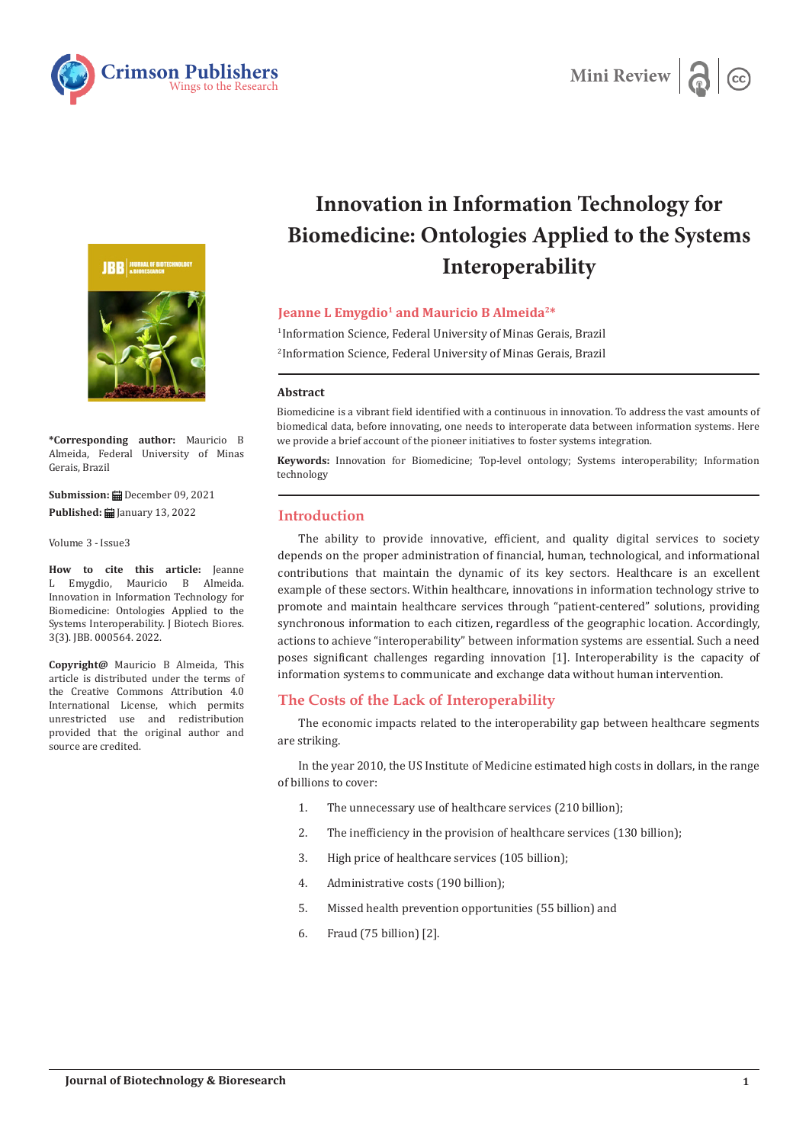





**\*Corresponding author:** Mauricio B Almeida, Federal University of Minas Gerais, Brazil

**Submission:** December 09, 2021 **Published:** January 13, 2022

Volume 3 - Issue3

**How to cite this article:** Jeanne L Emygdio, Mauricio B Almeida. Innovation in Information Technology for Biomedicine: Ontologies Applied to the Systems Interoperability. J Biotech Biores. 3(3). JBB. 000564. 2022.

**Copyright@** Mauricio B Almeida, This article is distributed under the terms of the Creative Commons Attribution 4.0 International License, which permits unrestricted use and redistribution provided that the original author and source are credited.

# **Innovation in Information Technology for Biomedicine: Ontologies Applied to the Systems Interoperability**

### **Jeanne L Emygdio<sup>1</sup> and Mauricio B Almeida<sup>2\*</sup>**

1 Information Science, Federal University of Minas Gerais, Brazil 2 Information Science, Federal University of Minas Gerais, Brazil

#### **Abstract**

Biomedicine is a vibrant field identified with a continuous in innovation. To address the vast amounts of biomedical data, before innovating, one needs to interoperate data between information systems. Here we provide a brief account of the pioneer initiatives to foster systems integration.

**Keywords:** Innovation for Biomedicine; Top-level ontology; Systems interoperability; Information technology

# **Introduction**

The ability to provide innovative, efficient, and quality digital services to society depends on the proper administration of financial, human, technological, and informational contributions that maintain the dynamic of its key sectors. Healthcare is an excellent example of these sectors. Within healthcare, innovations in information technology strive to promote and maintain healthcare services through "patient-centered" solutions, providing synchronous information to each citizen, regardless of the geographic location. Accordingly, actions to achieve "interoperability" between information systems are essential. Such a need poses significant challenges regarding innovation [1]. Interoperability is the capacity of information systems to communicate and exchange data without human intervention.

# **The Costs of the Lack of Interoperability**

The economic impacts related to the interoperability gap between healthcare segments are striking.

In the year 2010, the US Institute of Medicine estimated high costs in dollars, in the range of billions to cover:

- 1. The unnecessary use of healthcare services (210 billion);
- 2. The inefficiency in the provision of healthcare services (130 billion);
- 3. High price of healthcare services (105 billion);
- 4. Administrative costs (190 billion);
- 5. Missed health prevention opportunities (55 billion) and
- 6. Fraud (75 billion) [2].